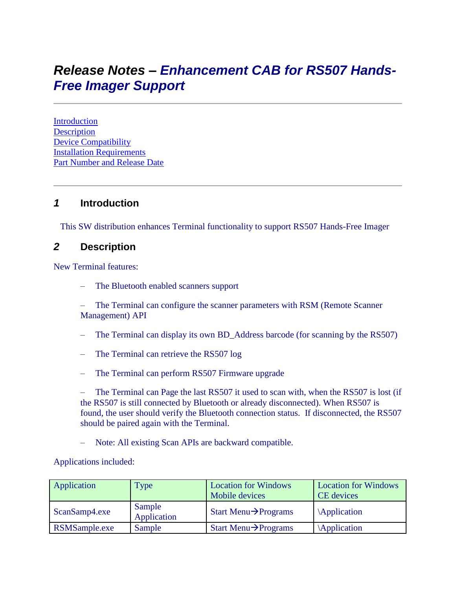# *Release Notes – Enhancement CAB for RS507 Hands-Free Imager Support*

**[Introduction](file:///C:/Users/NRCX74/Desktop/Release%20Notes%20-%20Terminals_RS507_support.htm%23_Introduction) [Description](file:///C:/Users/NRCX74/Desktop/Release%20Notes%20-%20Terminals_RS507_support.htm%23_Description)** Device [Compatibility](file:///C:/Users/NRCX74/Desktop/Release%20Notes%20-%20Terminals_RS507_support.htm%23_Device_Compatibility_) [Installation Requirements](file:///C:/Users/NRCX74/Desktop/Release%20Notes%20-%20Terminals_RS507_support.htm%23_Installation_Requirements) [Part Number and Release Date](file:///C:/Users/NRCX74/Desktop/Release%20Notes%20-%20Terminals_RS507_support.htm%23_Part_Number_and)

### *1* **Introduction**

This SW distribution enhances Terminal functionality to support RS507 Hands-Free Imager

#### *2* **Description**

New Terminal features:

– The Bluetooth enabled scanners support

– The Terminal can configure the scanner parameters with RSM (Remote Scanner Management) API

- The Terminal can display its own BD\_Address barcode (for scanning by the RS507)
- The Terminal can retrieve the RS507 log
- The Terminal can perform RS507 Firmware upgrade

– The Terminal can Page the last RS507 it used to scan with, when the RS507 is lost (if the RS507 is still connected by Bluetooth or already disconnected). When RS507 is found, the user should verify the Bluetooth connection status. If disconnected, the RS507 should be paired again with the Terminal.

– Note: All existing Scan APIs are backward compatible.

Applications included:

| Application   | Type                  | <b>Location for Windows</b><br>Mobile devices | <b>Location for Windows</b><br>CE devices |
|---------------|-----------------------|-----------------------------------------------|-------------------------------------------|
| ScanSamp4.exe | Sample<br>Application | Start Menu $\rightarrow$ Programs             | Application                               |
| RSMSample.exe | Sample                | Start Menu $\rightarrow$ Programs             | Application                               |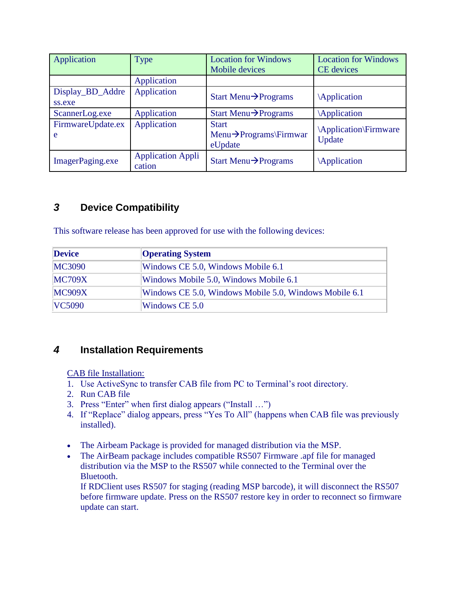| Application                | Type                               | <b>Location for Windows</b><br>Mobile devices                  | <b>Location for Windows</b><br><b>CE</b> devices |
|----------------------------|------------------------------------|----------------------------------------------------------------|--------------------------------------------------|
|                            | Application                        |                                                                |                                                  |
| Display_BD_Addre<br>ss.exe | Application                        | Start Menu $\rightarrow$ Programs                              | Application                                      |
| ScannerLog.exe             | Application                        | Start Menu $\rightarrow$ Programs                              | Application                                      |
| FirmwareUpdate.ex<br>e     | Application                        | <b>Start</b><br>Menu $\rightarrow$ Programs\Firmwar<br>eUpdate | Application\Firmware<br>Update                   |
| ImagerPaging.exe           | <b>Application Appli</b><br>cation | Start Menu $\rightarrow$ Programs                              | Application                                      |

# *3* **Device Compatibility**

This software release has been approved for use with the following devices:

| <b>Device</b> | <b>Operating System</b>                                |  |
|---------------|--------------------------------------------------------|--|
| <b>MC3090</b> | Windows CE 5.0, Windows Mobile 6.1                     |  |
| <b>MC709X</b> | Windows Mobile 5.0, Windows Mobile 6.1                 |  |
| <b>MC909X</b> | Windows CE 5.0, Windows Mobile 5.0, Windows Mobile 6.1 |  |
| <b>VC5090</b> | Windows CE 5.0                                         |  |

## *4* **Installation Requirements**

CAB file Installation:

- 1. Use ActiveSync to transfer CAB file from PC to Terminal's root directory.
- 2. Run CAB file
- 3. Press "Enter" when first dialog appears ("Install …")
- 4. If "Replace" dialog appears, press "Yes To All" (happens when CAB file was previously installed).
- The Airbeam Package is provided for managed distribution via the MSP.
- The AirBeam package includes compatible RS507 Firmware .apf file for managed distribution via the MSP to the RS507 while connected to the Terminal over the Bluetooth.

If RDClient uses RS507 for staging (reading MSP barcode), it will disconnect the RS507 before firmware update. Press on the RS507 restore key in order to reconnect so firmware update can start.